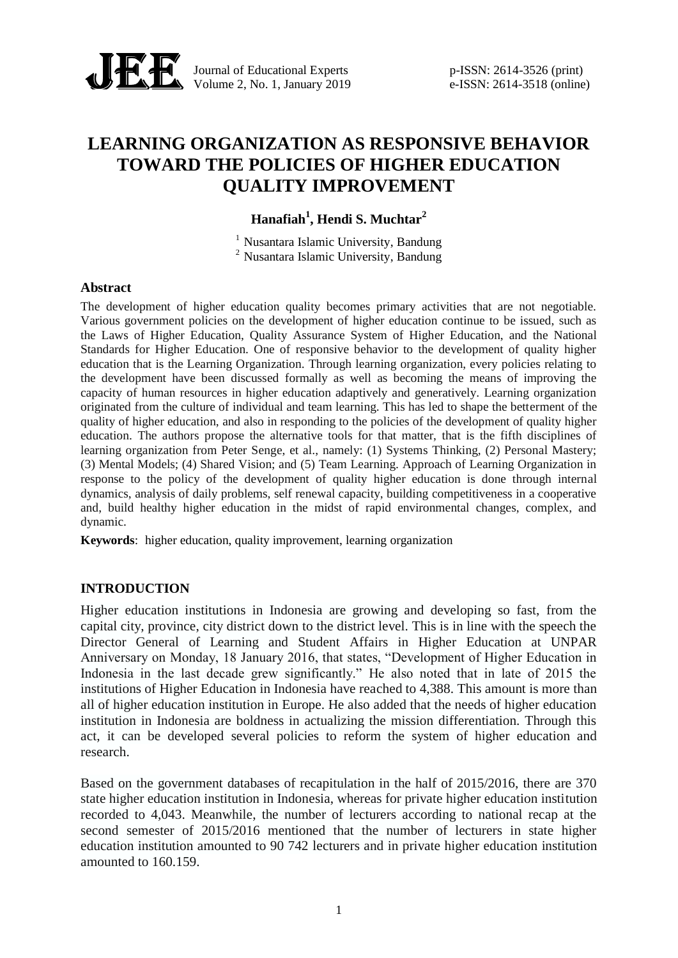

Journal of Educational Experts p-ISSN: 2614-3526 (print) Volume 2, No. 1, January 2019 e-ISSN: 2614-3518 (online)

# **LEARNING ORGANIZATION AS RESPONSIVE BEHAVIOR TOWARD THE POLICIES OF HIGHER EDUCATION QUALITY IMPROVEMENT**

**Hanafiah<sup>1</sup> , Hendi S. Muchtar<sup>2</sup>**

 $<sup>1</sup>$  Nusantara Islamic University, Bandung</sup> <sup>2</sup> Nusantara Islamic University, Bandung

#### **Abstract**

The development of higher education quality becomes primary activities that are not negotiable. Various government policies on the development of higher education continue to be issued, such as the Laws of Higher Education, Quality Assurance System of Higher Education, and the National Standards for Higher Education. One of responsive behavior to the development of quality higher education that is the Learning Organization. Through learning organization, every policies relating to the development have been discussed formally as well as becoming the means of improving the capacity of human resources in higher education adaptively and generatively. Learning organization originated from the culture of individual and team learning. This has led to shape the betterment of the quality of higher education, and also in responding to the policies of the development of quality higher education. The authors propose the alternative tools for that matter, that is the fifth disciplines of learning organization from Peter Senge, et al., namely: (1) Systems Thinking, (2) Personal Mastery; (3) Mental Models; (4) Shared Vision; and (5) Team Learning. Approach of Learning Organization in response to the policy of the development of quality higher education is done through internal dynamics, analysis of daily problems, self renewal capacity, building competitiveness in a cooperative and, build healthy higher education in the midst of rapid environmental changes, complex, and dynamic.

**Keywords**: higher education, quality improvement, learning organization

#### **INTRODUCTION**

Higher education institutions in Indonesia are growing and developing so fast, from the capital city, province, city district down to the district level. This is in line with the speech the Director General of Learning and Student Affairs in Higher Education at UNPAR Anniversary on Monday, 18 January 2016, that states, "Development of Higher Education in Indonesia in the last decade grew significantly." He also noted that in late of 2015 the institutions of Higher Education in Indonesia have reached to 4,388. This amount is more than all of higher education institution in Europe. He also added that the needs of higher education institution in Indonesia are boldness in actualizing the mission differentiation. Through this act, it can be developed several policies to reform the system of higher education and research.

Based on the government databases of recapitulation in the half of 2015/2016, there are 370 state higher education institution in Indonesia, whereas for private higher education institution recorded to 4,043. Meanwhile, the number of lecturers according to national recap at the second semester of 2015/2016 mentioned that the number of lecturers in state higher education institution amounted to 90 742 lecturers and in private higher education institution amounted to 160.159.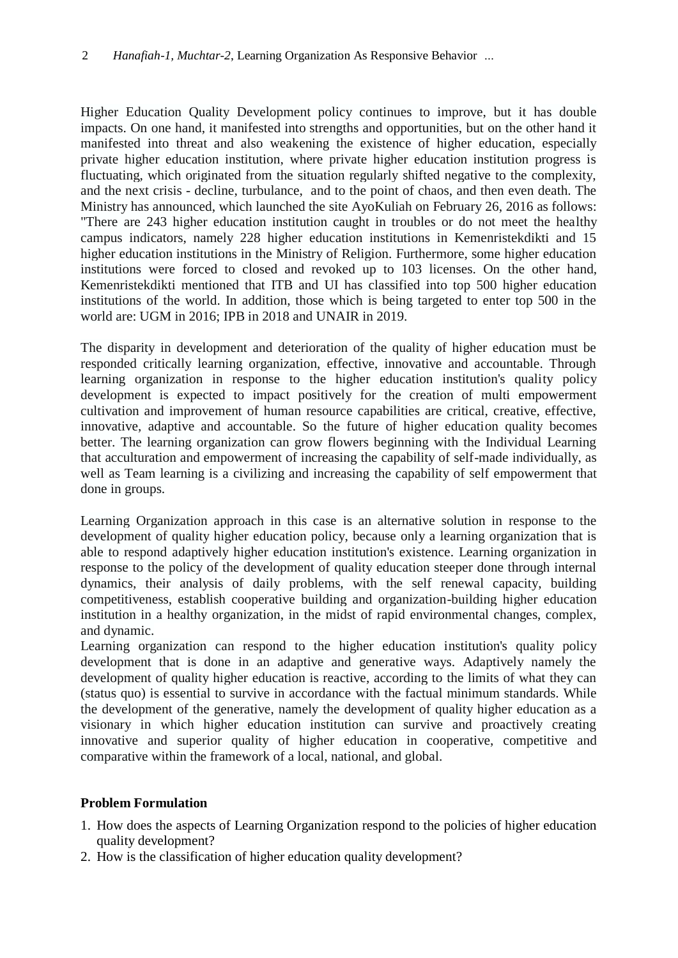Higher Education Quality Development policy continues to improve, but it has double impacts. On one hand, it manifested into strengths and opportunities, but on the other hand it manifested into threat and also weakening the existence of higher education, especially private higher education institution, where private higher education institution progress is fluctuating, which originated from the situation regularly shifted negative to the complexity, and the next crisis - decline, turbulance, and to the point of chaos, and then even death. The Ministry has announced, which launched the site AyoKuliah on February 26, 2016 as follows: "There are 243 higher education institution caught in troubles or do not meet the healthy campus indicators, namely 228 higher education institutions in Kemenristekdikti and 15 higher education institutions in the Ministry of Religion. Furthermore, some higher education institutions were forced to closed and revoked up to 103 licenses. On the other hand, Kemenristekdikti mentioned that ITB and UI has classified into top 500 higher education institutions of the world. In addition, those which is being targeted to enter top 500 in the world are: UGM in 2016; IPB in 2018 and UNAIR in 2019.

The disparity in development and deterioration of the quality of higher education must be responded critically learning organization, effective, innovative and accountable. Through learning organization in response to the higher education institution's quality policy development is expected to impact positively for the creation of multi empowerment cultivation and improvement of human resource capabilities are critical, creative, effective, innovative, adaptive and accountable. So the future of higher education quality becomes better. The learning organization can grow flowers beginning with the Individual Learning that acculturation and empowerment of increasing the capability of self-made individually, as well as Team learning is a civilizing and increasing the capability of self empowerment that done in groups.

Learning Organization approach in this case is an alternative solution in response to the development of quality higher education policy, because only a learning organization that is able to respond adaptively higher education institution's existence. Learning organization in response to the policy of the development of quality education steeper done through internal dynamics, their analysis of daily problems, with the self renewal capacity, building competitiveness, establish cooperative building and organization-building higher education institution in a healthy organization, in the midst of rapid environmental changes, complex, and dynamic.

Learning organization can respond to the higher education institution's quality policy development that is done in an adaptive and generative ways. Adaptively namely the development of quality higher education is reactive, according to the limits of what they can (status quo) is essential to survive in accordance with the factual minimum standards. While the development of the generative, namely the development of quality higher education as a visionary in which higher education institution can survive and proactively creating innovative and superior quality of higher education in cooperative, competitive and comparative within the framework of a local, national, and global.

# **Problem Formulation**

- 1. How does the aspects of Learning Organization respond to the policies of higher education quality development?
- 2. How is the classification of higher education quality development?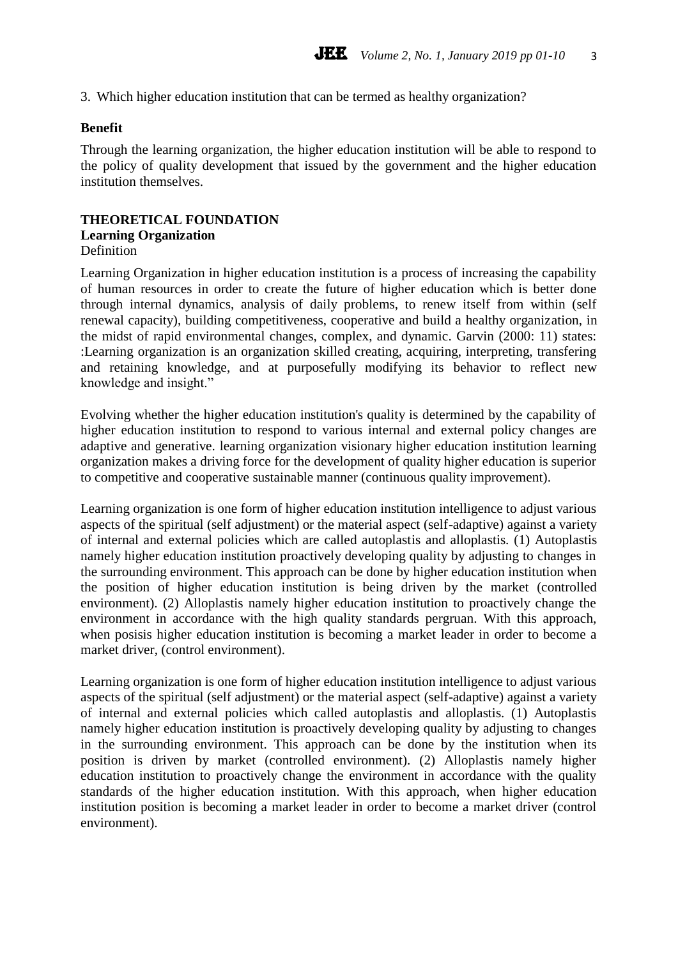3. Which higher education institution that can be termed as healthy organization?

#### **Benefit**

Through the learning organization, the higher education institution will be able to respond to the policy of quality development that issued by the government and the higher education institution themselves.

#### **THEORETICAL FOUNDATION Learning Organization** Definition

Learning Organization in higher education institution is a process of increasing the capability of human resources in order to create the future of higher education which is better done through internal dynamics, analysis of daily problems, to renew itself from within (self renewal capacity), building competitiveness, cooperative and build a healthy organization, in the midst of rapid environmental changes, complex, and dynamic. Garvin (2000: 11) states: :Learning organization is an organization skilled creating, acquiring, interpreting, transfering and retaining knowledge, and at purposefully modifying its behavior to reflect new knowledge and insight."

Evolving whether the higher education institution's quality is determined by the capability of higher education institution to respond to various internal and external policy changes are adaptive and generative. learning organization visionary higher education institution learning organization makes a driving force for the development of quality higher education is superior to competitive and cooperative sustainable manner (continuous quality improvement).

Learning organization is one form of higher education institution intelligence to adjust various aspects of the spiritual (self adjustment) or the material aspect (self-adaptive) against a variety of internal and external policies which are called autoplastis and alloplastis. (1) Autoplastis namely higher education institution proactively developing quality by adjusting to changes in the surrounding environment. This approach can be done by higher education institution when the position of higher education institution is being driven by the market (controlled environment). (2) Alloplastis namely higher education institution to proactively change the environment in accordance with the high quality standards pergruan. With this approach, when posisis higher education institution is becoming a market leader in order to become a market driver, (control environment).

Learning organization is one form of higher education institution intelligence to adjust various aspects of the spiritual (self adjustment) or the material aspect (self-adaptive) against a variety of internal and external policies which called autoplastis and alloplastis. (1) Autoplastis namely higher education institution is proactively developing quality by adjusting to changes in the surrounding environment. This approach can be done by the institution when its position is driven by market (controlled environment). (2) Alloplastis namely higher education institution to proactively change the environment in accordance with the quality standards of the higher education institution. With this approach, when higher education institution position is becoming a market leader in order to become a market driver (control environment).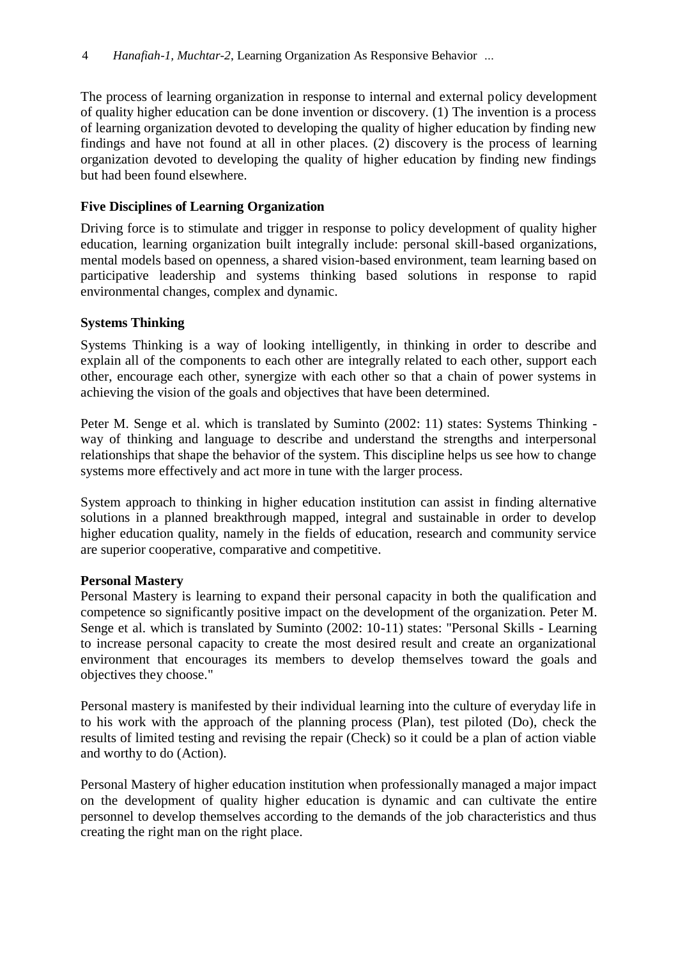The process of learning organization in response to internal and external policy development of quality higher education can be done invention or discovery. (1) The invention is a process of learning organization devoted to developing the quality of higher education by finding new findings and have not found at all in other places. (2) discovery is the process of learning organization devoted to developing the quality of higher education by finding new findings but had been found elsewhere.

### **Five Disciplines of Learning Organization**

Driving force is to stimulate and trigger in response to policy development of quality higher education, learning organization built integrally include: personal skill-based organizations, mental models based on openness, a shared vision-based environment, team learning based on participative leadership and systems thinking based solutions in response to rapid environmental changes, complex and dynamic.

### **Systems Thinking**

Systems Thinking is a way of looking intelligently, in thinking in order to describe and explain all of the components to each other are integrally related to each other, support each other, encourage each other, synergize with each other so that a chain of power systems in achieving the vision of the goals and objectives that have been determined.

Peter M. Senge et al. which is translated by Suminto (2002: 11) states: Systems Thinking way of thinking and language to describe and understand the strengths and interpersonal relationships that shape the behavior of the system. This discipline helps us see how to change systems more effectively and act more in tune with the larger process.

System approach to thinking in higher education institution can assist in finding alternative solutions in a planned breakthrough mapped, integral and sustainable in order to develop higher education quality, namely in the fields of education, research and community service are superior cooperative, comparative and competitive.

### **Personal Mastery**

Personal Mastery is learning to expand their personal capacity in both the qualification and competence so significantly positive impact on the development of the organization. Peter M. Senge et al. which is translated by Suminto (2002: 10-11) states: "Personal Skills - Learning to increase personal capacity to create the most desired result and create an organizational environment that encourages its members to develop themselves toward the goals and objectives they choose."

Personal mastery is manifested by their individual learning into the culture of everyday life in to his work with the approach of the planning process (Plan), test piloted (Do), check the results of limited testing and revising the repair (Check) so it could be a plan of action viable and worthy to do (Action).

Personal Mastery of higher education institution when professionally managed a major impact on the development of quality higher education is dynamic and can cultivate the entire personnel to develop themselves according to the demands of the job characteristics and thus creating the right man on the right place.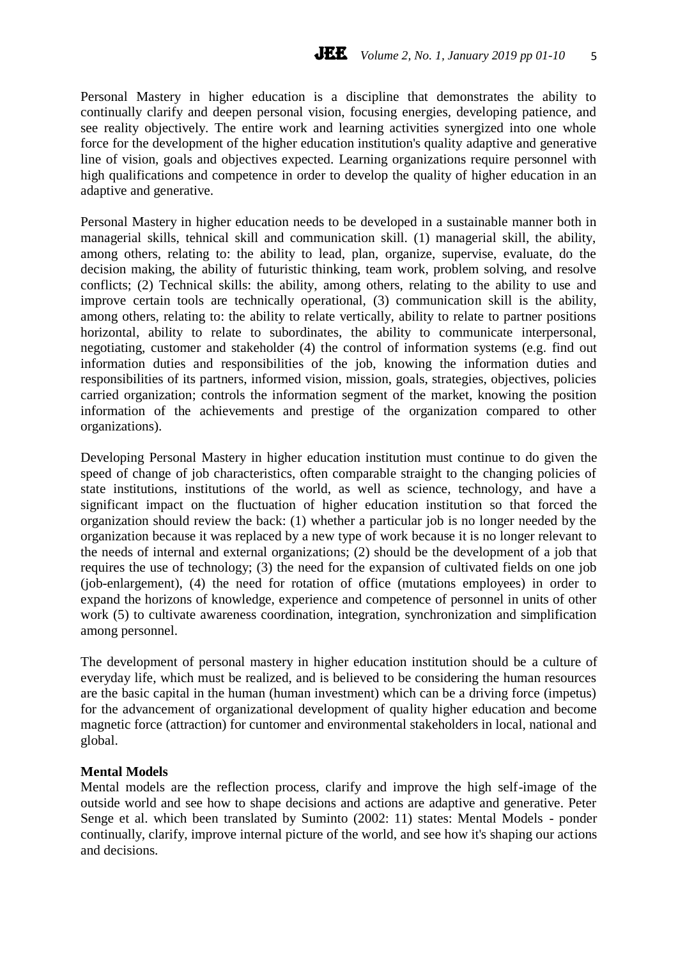Personal Mastery in higher education is a discipline that demonstrates the ability to continually clarify and deepen personal vision, focusing energies, developing patience, and see reality objectively. The entire work and learning activities synergized into one whole force for the development of the higher education institution's quality adaptive and generative line of vision, goals and objectives expected. Learning organizations require personnel with high qualifications and competence in order to develop the quality of higher education in an adaptive and generative.

Personal Mastery in higher education needs to be developed in a sustainable manner both in managerial skills, tehnical skill and communication skill. (1) managerial skill, the ability, among others, relating to: the ability to lead, plan, organize, supervise, evaluate, do the decision making, the ability of futuristic thinking, team work, problem solving, and resolve conflicts; (2) Technical skills: the ability, among others, relating to the ability to use and improve certain tools are technically operational, (3) communication skill is the ability, among others, relating to: the ability to relate vertically, ability to relate to partner positions horizontal, ability to relate to subordinates, the ability to communicate interpersonal, negotiating, customer and stakeholder (4) the control of information systems (e.g. find out information duties and responsibilities of the job, knowing the information duties and responsibilities of its partners, informed vision, mission, goals, strategies, objectives, policies carried organization; controls the information segment of the market, knowing the position information of the achievements and prestige of the organization compared to other organizations).

Developing Personal Mastery in higher education institution must continue to do given the speed of change of job characteristics, often comparable straight to the changing policies of state institutions, institutions of the world, as well as science, technology, and have a significant impact on the fluctuation of higher education institution so that forced the organization should review the back: (1) whether a particular job is no longer needed by the organization because it was replaced by a new type of work because it is no longer relevant to the needs of internal and external organizations; (2) should be the development of a job that requires the use of technology; (3) the need for the expansion of cultivated fields on one job (job-enlargement), (4) the need for rotation of office (mutations employees) in order to expand the horizons of knowledge, experience and competence of personnel in units of other work (5) to cultivate awareness coordination, integration, synchronization and simplification among personnel.

The development of personal mastery in higher education institution should be a culture of everyday life, which must be realized, and is believed to be considering the human resources are the basic capital in the human (human investment) which can be a driving force (impetus) for the advancement of organizational development of quality higher education and become magnetic force (attraction) for cuntomer and environmental stakeholders in local, national and global.

#### **Mental Models**

Mental models are the reflection process, clarify and improve the high self-image of the outside world and see how to shape decisions and actions are adaptive and generative. Peter Senge et al. which been translated by Suminto (2002: 11) states: Mental Models - ponder continually, clarify, improve internal picture of the world, and see how it's shaping our actions and decisions.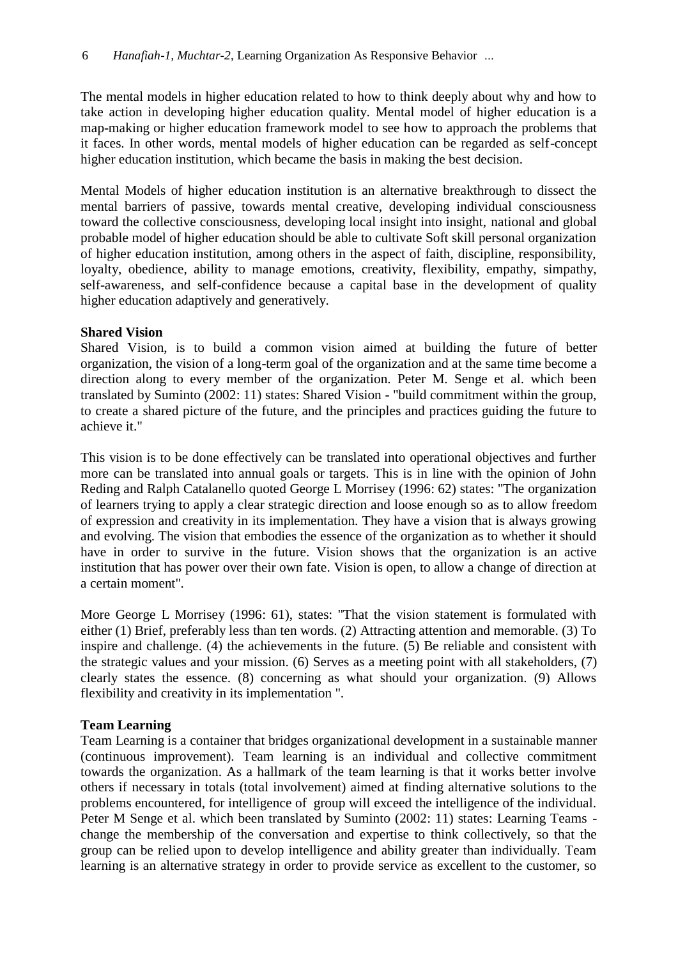The mental models in higher education related to how to think deeply about why and how to take action in developing higher education quality. Mental model of higher education is a map-making or higher education framework model to see how to approach the problems that it faces. In other words, mental models of higher education can be regarded as self-concept higher education institution, which became the basis in making the best decision.

Mental Models of higher education institution is an alternative breakthrough to dissect the mental barriers of passive, towards mental creative, developing individual consciousness toward the collective consciousness, developing local insight into insight, national and global probable model of higher education should be able to cultivate Soft skill personal organization of higher education institution, among others in the aspect of faith, discipline, responsibility, loyalty, obedience, ability to manage emotions, creativity, flexibility, empathy, simpathy, self-awareness, and self-confidence because a capital base in the development of quality higher education adaptively and generatively.

### **Shared Vision**

Shared Vision, is to build a common vision aimed at building the future of better organization, the vision of a long-term goal of the organization and at the same time become a direction along to every member of the organization. Peter M. Senge et al. which been translated by Suminto (2002: 11) states: Shared Vision - "build commitment within the group, to create a shared picture of the future, and the principles and practices guiding the future to achieve it."

This vision is to be done effectively can be translated into operational objectives and further more can be translated into annual goals or targets. This is in line with the opinion of John Reding and Ralph Catalanello quoted George L Morrisey (1996: 62) states: "The organization of learners trying to apply a clear strategic direction and loose enough so as to allow freedom of expression and creativity in its implementation. They have a vision that is always growing and evolving. The vision that embodies the essence of the organization as to whether it should have in order to survive in the future. Vision shows that the organization is an active institution that has power over their own fate. Vision is open, to allow a change of direction at a certain moment".

More George L Morrisey (1996: 61), states: "That the vision statement is formulated with either (1) Brief, preferably less than ten words. (2) Attracting attention and memorable. (3) To inspire and challenge. (4) the achievements in the future. (5) Be reliable and consistent with the strategic values and your mission. (6) Serves as a meeting point with all stakeholders, (7) clearly states the essence. (8) concerning as what should your organization. (9) Allows flexibility and creativity in its implementation ".

# **Team Learning**

Team Learning is a container that bridges organizational development in a sustainable manner (continuous improvement). Team learning is an individual and collective commitment towards the organization. As a hallmark of the team learning is that it works better involve others if necessary in totals (total involvement) aimed at finding alternative solutions to the problems encountered, for intelligence of group will exceed the intelligence of the individual. Peter M Senge et al. which been translated by Suminto (2002: 11) states: Learning Teams change the membership of the conversation and expertise to think collectively, so that the group can be relied upon to develop intelligence and ability greater than individually. Team learning is an alternative strategy in order to provide service as excellent to the customer, so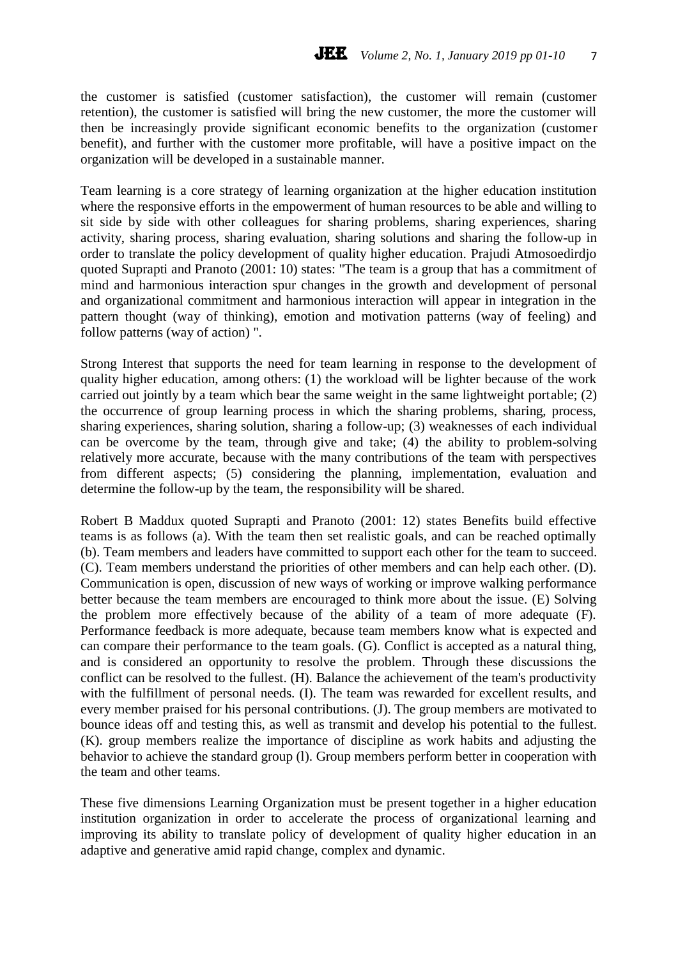the customer is satisfied (customer satisfaction), the customer will remain (customer retention), the customer is satisfied will bring the new customer, the more the customer will then be increasingly provide significant economic benefits to the organization (customer benefit), and further with the customer more profitable, will have a positive impact on the organization will be developed in a sustainable manner.

Team learning is a core strategy of learning organization at the higher education institution where the responsive efforts in the empowerment of human resources to be able and willing to sit side by side with other colleagues for sharing problems, sharing experiences, sharing activity, sharing process, sharing evaluation, sharing solutions and sharing the follow-up in order to translate the policy development of quality higher education. Prajudi Atmosoedirdjo quoted Suprapti and Pranoto (2001: 10) states: "The team is a group that has a commitment of mind and harmonious interaction spur changes in the growth and development of personal and organizational commitment and harmonious interaction will appear in integration in the pattern thought (way of thinking), emotion and motivation patterns (way of feeling) and follow patterns (way of action) ".

Strong Interest that supports the need for team learning in response to the development of quality higher education, among others: (1) the workload will be lighter because of the work carried out jointly by a team which bear the same weight in the same lightweight portable; (2) the occurrence of group learning process in which the sharing problems, sharing, process, sharing experiences, sharing solution, sharing a follow-up; (3) weaknesses of each individual can be overcome by the team, through give and take; (4) the ability to problem-solving relatively more accurate, because with the many contributions of the team with perspectives from different aspects; (5) considering the planning, implementation, evaluation and determine the follow-up by the team, the responsibility will be shared.

Robert B Maddux quoted Suprapti and Pranoto (2001: 12) states Benefits build effective teams is as follows (a). With the team then set realistic goals, and can be reached optimally (b). Team members and leaders have committed to support each other for the team to succeed. (C). Team members understand the priorities of other members and can help each other. (D). Communication is open, discussion of new ways of working or improve walking performance better because the team members are encouraged to think more about the issue. (E) Solving the problem more effectively because of the ability of a team of more adequate (F). Performance feedback is more adequate, because team members know what is expected and can compare their performance to the team goals. (G). Conflict is accepted as a natural thing, and is considered an opportunity to resolve the problem. Through these discussions the conflict can be resolved to the fullest. (H). Balance the achievement of the team's productivity with the fulfillment of personal needs. (I). The team was rewarded for excellent results, and every member praised for his personal contributions. (J). The group members are motivated to bounce ideas off and testing this, as well as transmit and develop his potential to the fullest. (K). group members realize the importance of discipline as work habits and adjusting the behavior to achieve the standard group (l). Group members perform better in cooperation with the team and other teams.

These five dimensions Learning Organization must be present together in a higher education institution organization in order to accelerate the process of organizational learning and improving its ability to translate policy of development of quality higher education in an adaptive and generative amid rapid change, complex and dynamic.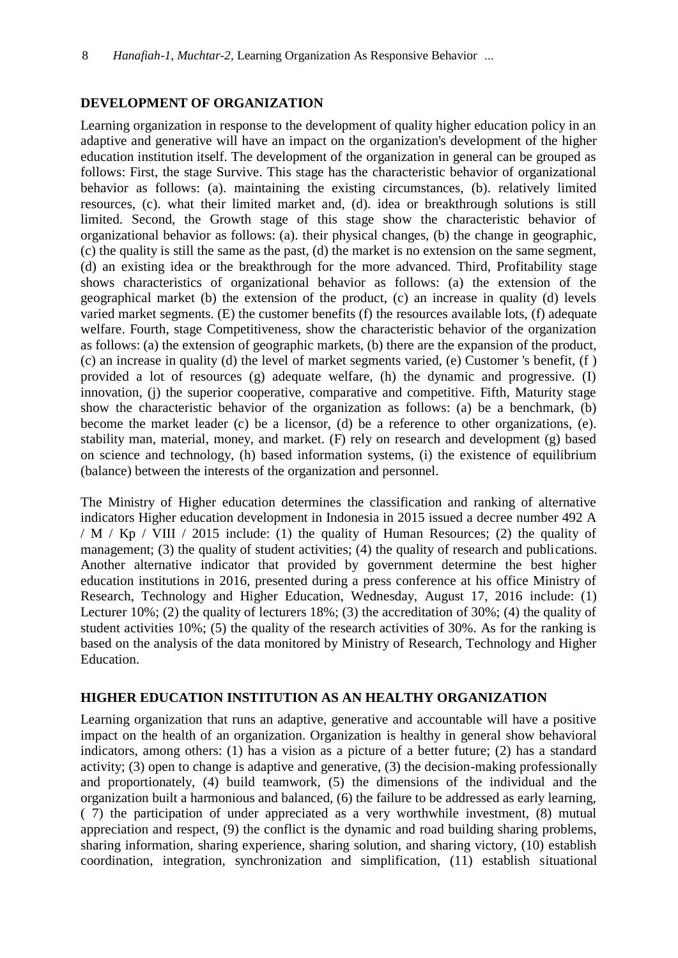# **DEVELOPMENT OF ORGANIZATION**

Learning organization in response to the development of quality higher education policy in an adaptive and generative will have an impact on the organization's development of the higher education institution itself. The development of the organization in general can be grouped as follows: First, the stage Survive. This stage has the characteristic behavior of organizational behavior as follows: (a). maintaining the existing circumstances, (b). relatively limited resources, (c). what their limited market and, (d). idea or breakthrough solutions is still limited. Second, the Growth stage of this stage show the characteristic behavior of organizational behavior as follows: (a). their physical changes, (b) the change in geographic, (c) the quality is still the same as the past, (d) the market is no extension on the same segment, (d) an existing idea or the breakthrough for the more advanced. Third, Profitability stage shows characteristics of organizational behavior as follows: (a) the extension of the geographical market (b) the extension of the product, (c) an increase in quality (d) levels varied market segments. (E) the customer benefits (f) the resources available lots, (f) adequate welfare. Fourth, stage Competitiveness, show the characteristic behavior of the organization as follows: (a) the extension of geographic markets, (b) there are the expansion of the product, (c) an increase in quality (d) the level of market segments varied, (e) Customer 's benefit, (f ) provided a lot of resources (g) adequate welfare, (h) the dynamic and progressive. (I) innovation, (i) the superior cooperative, comparative and competitive. Fifth, Maturity stage show the characteristic behavior of the organization as follows: (a) be a benchmark, (b) become the market leader (c) be a licensor, (d) be a reference to other organizations, (e). stability man, material, money, and market. (F) rely on research and development (g) based on science and technology, (h) based information systems, (i) the existence of equilibrium (balance) between the interests of the organization and personnel.

The Ministry of Higher education determines the classification and ranking of alternative indicators Higher education development in Indonesia in 2015 issued a decree number 492 A / M / Kp / VIII / 2015 include: (1) the quality of Human Resources; (2) the quality of management; (3) the quality of student activities; (4) the quality of research and publications. Another alternative indicator that provided by government determine the best higher education institutions in 2016, presented during a press conference at his office Ministry of Research, Technology and Higher Education, Wednesday, August 17, 2016 include: (1) Lecturer 10%; (2) the quality of lecturers 18%; (3) the accreditation of 30%; (4) the quality of student activities 10%; (5) the quality of the research activities of 30%. As for the ranking is based on the analysis of the data monitored by Ministry of Research, Technology and Higher Education.

# **HIGHER EDUCATION INSTITUTION AS AN HEALTHY ORGANIZATION**

Learning organization that runs an adaptive, generative and accountable will have a positive impact on the health of an organization. Organization is healthy in general show behavioral indicators, among others: (1) has a vision as a picture of a better future; (2) has a standard activity; (3) open to change is adaptive and generative, (3) the decision-making professionally and proportionately, (4) build teamwork, (5) the dimensions of the individual and the organization built a harmonious and balanced, (6) the failure to be addressed as early learning, ( 7) the participation of under appreciated as a very worthwhile investment, (8) mutual appreciation and respect, (9) the conflict is the dynamic and road building sharing problems, sharing information, sharing experience, sharing solution, and sharing victory, (10) establish coordination, integration, synchronization and simplification, (11) establish situational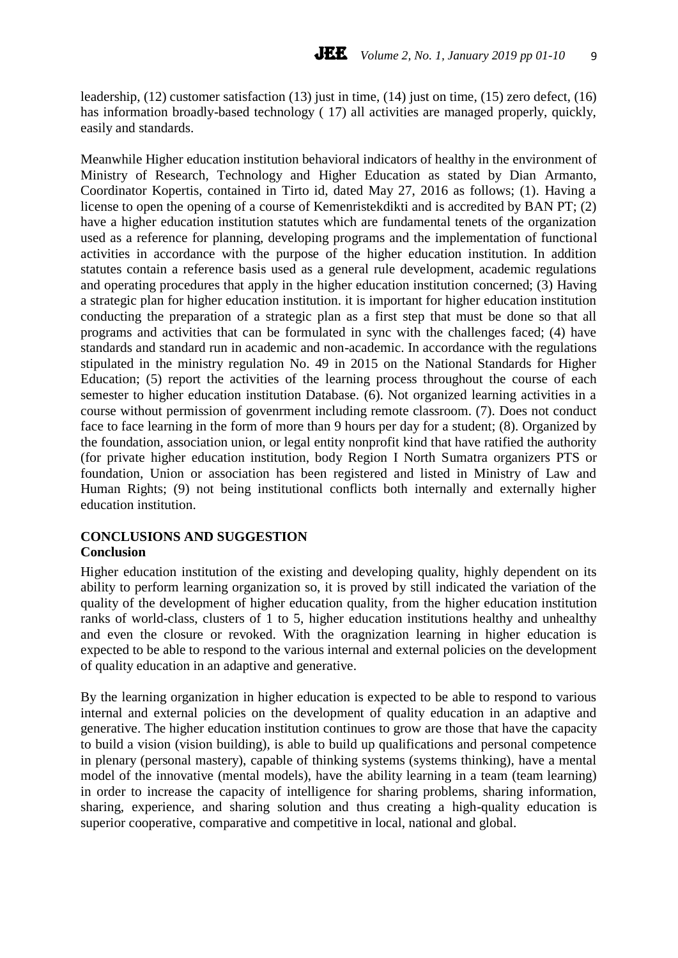leadership, (12) customer satisfaction (13) just in time, (14) just on time, (15) zero defect, (16) has information broadly-based technology ( 17) all activities are managed properly, quickly, easily and standards.

Meanwhile Higher education institution behavioral indicators of healthy in the environment of Ministry of Research, Technology and Higher Education as stated by Dian Armanto, Coordinator Kopertis, contained in Tirto id, dated May 27, 2016 as follows; (1). Having a license to open the opening of a course of Kemenristekdikti and is accredited by BAN PT; (2) have a higher education institution statutes which are fundamental tenets of the organization used as a reference for planning, developing programs and the implementation of functional activities in accordance with the purpose of the higher education institution. In addition statutes contain a reference basis used as a general rule development, academic regulations and operating procedures that apply in the higher education institution concerned; (3) Having a strategic plan for higher education institution. it is important for higher education institution conducting the preparation of a strategic plan as a first step that must be done so that all programs and activities that can be formulated in sync with the challenges faced; (4) have standards and standard run in academic and non-academic. In accordance with the regulations stipulated in the ministry regulation No. 49 in 2015 on the National Standards for Higher Education; (5) report the activities of the learning process throughout the course of each semester to higher education institution Database. (6). Not organized learning activities in a course without permission of govenrment including remote classroom. (7). Does not conduct face to face learning in the form of more than 9 hours per day for a student; (8). Organized by the foundation, association union, or legal entity nonprofit kind that have ratified the authority (for private higher education institution, body Region I North Sumatra organizers PTS or foundation, Union or association has been registered and listed in Ministry of Law and Human Rights; (9) not being institutional conflicts both internally and externally higher education institution.

#### **CONCLUSIONS AND SUGGESTION Conclusion**

Higher education institution of the existing and developing quality, highly dependent on its ability to perform learning organization so, it is proved by still indicated the variation of the quality of the development of higher education quality, from the higher education institution ranks of world-class, clusters of 1 to 5, higher education institutions healthy and unhealthy and even the closure or revoked. With the oragnization learning in higher education is expected to be able to respond to the various internal and external policies on the development of quality education in an adaptive and generative.

By the learning organization in higher education is expected to be able to respond to various internal and external policies on the development of quality education in an adaptive and generative. The higher education institution continues to grow are those that have the capacity to build a vision (vision building), is able to build up qualifications and personal competence in plenary (personal mastery), capable of thinking systems (systems thinking), have a mental model of the innovative (mental models), have the ability learning in a team (team learning) in order to increase the capacity of intelligence for sharing problems, sharing information, sharing, experience, and sharing solution and thus creating a high-quality education is superior cooperative, comparative and competitive in local, national and global.